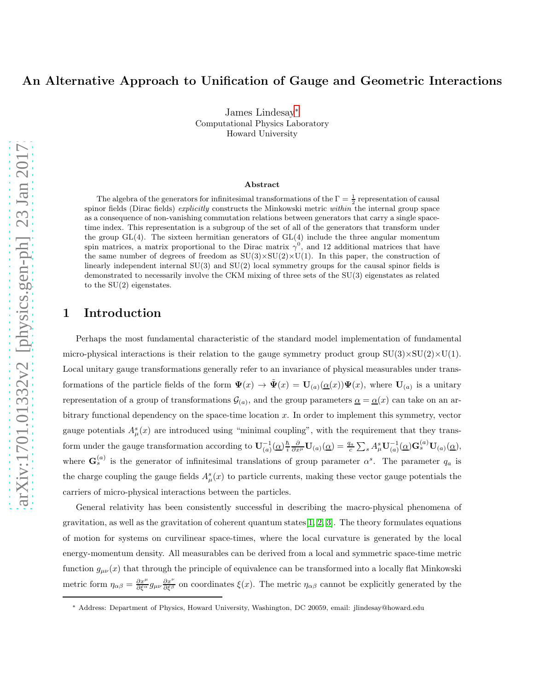## An Alternative Approach to Unification of Gauge and Geometric Interactions

James Lindesay[∗](#page-0-0) Computational Physics Laboratory Howard University

#### Abstract

The algebra of the generators for infinitesimal transformations of the  $\Gamma = \frac{1}{2}$  representation of causal spinor fields (Dirac fields) explicitly constructs the Minkowski metric within the internal group space as a consequence of non-vanishing commutation relations between generators that carry a single spacetime index. This representation is a subgroup of the set of all of the generators that transform under the group  $GL(4)$ . The sixteen hermitian generators of  $GL(4)$  include the three angular momentum spin matrices, a matrix proportional to the Dirac matrix  $\gamma^0$ , and 12 additional matrices that have the same number of degrees of freedom as  $SU(3)\times SU(2)\times U(1)$ . In this paper, the construction of linearly independent internal SU(3) and SU(2) local symmetry groups for the causal spinor fields is demonstrated to necessarily involve the CKM mixing of three sets of the SU(3) eigenstates as related to the SU(2) eigenstates.

### 1 Introduction

Perhaps the most fundamental characteristic of the standard model implementation of fundamental micro-physical interactions is their relation to the gauge symmetry product group  $SU(3)\times SU(2)\times U(1)$ . Local unitary gauge transformations generally refer to an invariance of physical measurables under transformations of the particle fields of the form  $\Psi(x) \to \tilde{\Psi}(x) = U_{(a)}(\underline{\alpha}(x))\Psi(x)$ , where  $U_{(a)}$  is a unitary representation of a group of transformations  $\mathcal{G}_{(a)}$ , and the group parameters  $\underline{\alpha} = \underline{\alpha}(x)$  can take on an arbitrary functional dependency on the space-time location  $x$ . In order to implement this symmetry, vector gauge potentials  $A^s_\mu(x)$  are introduced using "minimal coupling", with the requirement that they transform under the gauge transformation according to  $\mathbf{U}_{(a)}^{-1}(\underline{\alpha})\frac{\hbar}{i}\frac{\partial}{\partial x^{\mu}}\mathbf{U}_{(a)}(\underline{\alpha}) = \frac{q_{a}}{c}\sum_{s}A_{\mu}^{s}\mathbf{U}_{(a)}^{-1}(\underline{\alpha})\mathbf{G}_{s}^{(a)}\mathbf{U}_{(a)}(\underline{\alpha}),$ where  $\mathbf{G}_s^{(a)}$  is the generator of infinitesimal translations of group parameter  $\alpha^s$ . The parameter  $q_a$  is the charge coupling the gauge fields  $A^s_\mu(x)$  to particle currents, making these vector gauge potentials the carriers of micro-physical interactions between the particles.

General relativity has been consistently successful in describing the macro-physical phenomena of gravitation, as well as the gravitation of coherent quantum states  $[1, 2, 3]$  $[1, 2, 3]$  $[1, 2, 3]$ . The theory formulates equations of motion for systems on curvilinear space-times, where the local curvature is generated by the local energy-momentum density. All measurables can be derived from a local and symmetric space-time metric function  $g_{\mu\nu}(x)$  that through the principle of equivalence can be transformed into a locally flat Minkowski metric form  $\eta_{\alpha\beta} = \frac{\partial x^{\mu}}{\partial \xi^{\alpha}} g_{\mu\nu} \frac{\partial x^{\nu}}{\partial \xi^{\beta}}$  on coordinates  $\xi(x)$ . The metric  $\eta_{\alpha\beta}$  cannot be explicitly generated by the

<span id="page-0-0"></span><sup>∗</sup> Address: Department of Physics, Howard University, Washington, DC 20059, email: jlindesay@howard.edu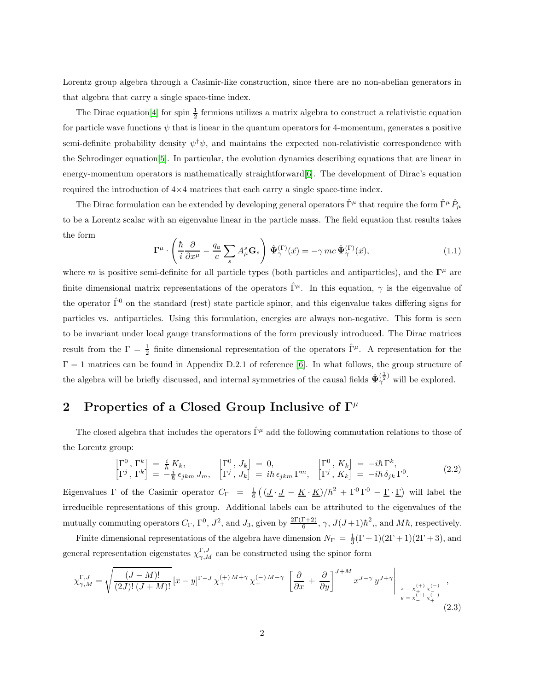Lorentz group algebra through a Casimir-like construction, since there are no non-abelian generators in that algebra that carry a single space-time index.

The Dirac equation<sup>[\[4\]](#page-8-3)</sup> for spin  $\frac{1}{2}$  fermions utilizes a matrix algebra to construct a relativistic equation for particle wave functions  $\psi$  that is linear in the quantum operators for 4-momentum, generates a positive semi-definite probability density  $\psi^{\dagger}\psi$ , and maintains the expected non-relativistic correspondence with the Schrodinger equation[\[5\]](#page-8-4). In particular, the evolution dynamics describing equations that are linear in energy-momentum operators is mathematically straightforward[\[6\]](#page-8-5). The development of Dirac's equation required the introduction of  $4\times4$  matrices that each carry a single space-time index.

The Dirac formulation can be extended by developing general operators  $\hat{\Gamma}^{\mu}$  that require the form  $\hat{\Gamma}^{\mu}\hat{P}_{\mu}$ to be a Lorentz scalar with an eigenvalue linear in the particle mass. The field equation that results takes the form

<span id="page-1-1"></span>
$$
\Gamma^{\mu} \cdot \left( \frac{\hbar}{i} \frac{\partial}{\partial x^{\mu}} - \frac{q_a}{c} \sum_{s} A_{\mu}^{s} \mathbf{G}_{s} \right) \hat{\Psi}_{\gamma}^{(\Gamma)}(\vec{x}) = -\gamma \, mc \, \hat{\Psi}_{\gamma}^{(\Gamma)}(\vec{x}), \tag{1.1}
$$

where m is positive semi-definite for all particle types (both particles and antiparticles), and the  $\Gamma^{\mu}$  are finite dimensional matrix representations of the operators  $\hat{\Gamma}^{\mu}$ . In this equation,  $\gamma$  is the eigenvalue of the operator  $\hat{\Gamma}^0$  on the standard (rest) state particle spinor, and this eigenvalue takes differing signs for particles vs. antiparticles. Using this formulation, energies are always non-negative. This form is seen to be invariant under local gauge transformations of the form previously introduced. The Dirac matrices result from the  $\Gamma = \frac{1}{2}$  finite dimensional representation of the operators  $\hat{\Gamma}^{\mu}$ . A representation for the  $\Gamma = 1$  matrices can be found in Appendix D.2.1 of reference [\[6\]](#page-8-5). In what follows, the group structure of the algebra will be briefly discussed, and internal symmetries of the causal fields  $\hat{\Psi}_{\gamma}^{(\frac{1}{2})}$  will be explored.

# 2 Properties of a Closed Group Inclusive of  $\Gamma^{\mu}$

The closed algebra that includes the operators  $\hat{\Gamma}^{\mu}$  add the following commutation relations to those of the Lorentz group:

<span id="page-1-0"></span>
$$
\begin{bmatrix}\n\Gamma^0, \Gamma^k\n\end{bmatrix} = \frac{i}{\hbar} K_k, \qquad \qquad \begin{bmatrix}\n\Gamma^0, J_k\n\end{bmatrix} = 0, \qquad \qquad \begin{bmatrix}\n\Gamma^0, K_k\n\end{bmatrix} = -i\hbar \Gamma^k, \\
\Gamma^j, \Gamma^k\n\end{bmatrix} = -\frac{i}{\hbar} \epsilon_{jkm} J_m, \qquad \begin{bmatrix}\n\Gamma^0, J_k\n\end{bmatrix} = i\hbar \epsilon_{jkm} \Gamma^m, \qquad \begin{bmatrix}\n\Gamma^0, K_k\n\end{bmatrix} = -i\hbar \delta_{jk} \Gamma^0. \qquad (2.2)
$$

Eigenvalues  $\Gamma$  of the Casimir operator  $C_{\Gamma} = \frac{1}{6} \left( (\underline{J} \cdot \underline{J} - \underline{K} \cdot \underline{K}) / \hbar^2 + \Gamma^0 \Gamma^0 - \underline{\Gamma} \cdot \underline{\Gamma} \right)$  will label the irreducible representations of this group. Additional labels can be attributed to the eigenvalues of the mutually commuting operators  $C_{\Gamma}$ ,  $\Gamma^0$ ,  $J^2$ , and  $J_3$ , given by  $\frac{2\Gamma(\Gamma+2)}{6}$ ,  $\gamma$ ,  $J(J+1)\hbar^2$ ,, and  $M\hbar$ , respectively.

Finite dimensional representations of the algebra have dimension  $N_{\Gamma} = \frac{1}{3}(\Gamma + 1)(2\Gamma + 1)(2\Gamma + 3)$ , and general representation eigenstates  $\chi_{\gamma,M}^{\Gamma,J}$  can be constructed using the spinor form

$$
\chi_{\gamma,M}^{\Gamma,J} = \sqrt{\frac{(J-M)!}{(2J)!\,(J+M)!}} \left[ x - y \right]^{\Gamma-J} \chi_{+}^{(+)M+\gamma} \chi_{+}^{(-)M-\gamma} \left[ \frac{\partial}{\partial x} + \frac{\partial}{\partial y} \right]^{J+M} x^{J-\gamma} y^{J+\gamma} \Big|_{\substack{x = x_{+}^{(+)} \chi_{-}^{(-)} \\ y = x_{-}^{(+)} \chi_{+}^{(-)}}} ,\tag{2.3}
$$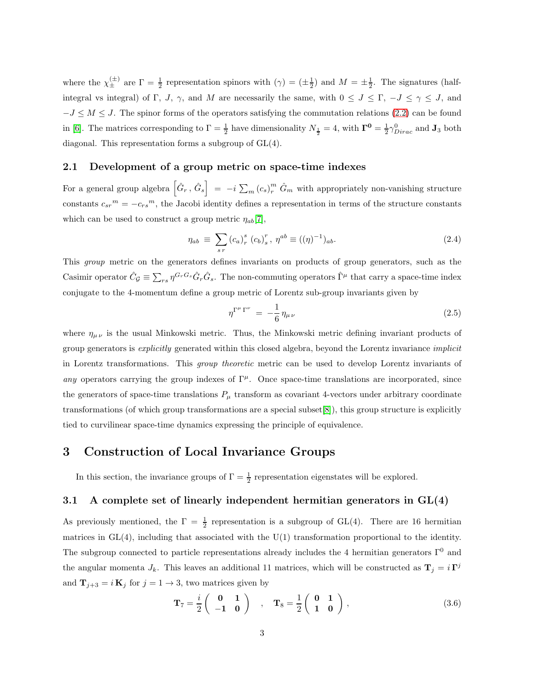where the  $\chi_{\pm}^{(\pm)}$  are  $\Gamma = \frac{1}{2}$  representation spinors with  $(\gamma) = (\pm \frac{1}{2})$  and  $M = \pm \frac{1}{2}$ . The signatures (halfintegral vs integral) of Γ, J,  $\gamma$ , and M are necessarily the same, with  $0 \leq J \leq \Gamma$ ,  $-J \leq \gamma \leq J$ , and  $-J \leq M \leq J$ . The spinor forms of the operators satisfying the commutation relations [\(2.2\)](#page-1-0) can be found in [\[6\]](#page-8-5). The matrices corresponding to  $\Gamma = \frac{1}{2}$  have dimensionality  $N_{\frac{1}{2}} = 4$ , with  $\Gamma^0 = \frac{1}{2} \gamma_{Dirac}^0$  and  $J_3$  both diagonal. This representation forms a subgroup of GL(4).

#### 2.1 Development of a group metric on space-time indexes

For a general group algebra  $\left[\hat{G}_r, \hat{G}_s\right] = -i \sum_m (c_s)_r^m \hat{G}_m$  with appropriately non-vanishing structure constants  $c_{sr}^m = -c_{rs}^m$ , the Jacobi identity defines a representation in terms of the structure constants which can be used to construct a group metric  $\eta_{ab}[7]$  $\eta_{ab}[7]$ ,

$$
\eta_{ab} \equiv \sum_{s \, r} \left( c_a \right)^s_r \left( c_b \right)^r_s, \ \eta^{ab} \equiv ((\eta)^{-1})_{ab}.
$$
 (2.4)

This group metric on the generators defines invariants on products of group generators, such as the Casimir operator  $\hat{C}_{\mathcal{G}} \equiv \sum_{rs} \eta^{G_r G_s} \hat{G}_r \hat{G}_s$ . The non-commuting operators  $\hat{\Gamma}^{\mu}$  that carry a space-time index conjugate to the 4-momentum define a group metric of Lorentz sub-group invariants given by

$$
\eta^{\Gamma^{\mu}\Gamma^{\nu}} = -\frac{1}{6} \eta_{\mu\nu} \tag{2.5}
$$

where  $\eta_{\mu\nu}$  is the usual Minkowski metric. Thus, the Minkowski metric defining invariant products of group generators is explicitly generated within this closed algebra, beyond the Lorentz invariance implicit in Lorentz transformations. This group theoretic metric can be used to develop Lorentz invariants of any operators carrying the group indexes of  $\Gamma^{\mu}$ . Once space-time translations are incorporated, since the generators of space-time translations  $P_{\mu}$  transform as covariant 4-vectors under arbitrary coordinate transformations (of which group transformations are a special subset[\[8\]](#page-9-0)), this group structure is explicitly tied to curvilinear space-time dynamics expressing the principle of equivalence.

### 3 Construction of Local Invariance Groups

In this section, the invariance groups of  $\Gamma = \frac{1}{2}$  representation eigenstates will be explored.

### 3.1 A complete set of linearly independent hermitian generators in  $GL(4)$

As previously mentioned, the  $\Gamma = \frac{1}{2}$  representation is a subgroup of GL(4). There are 16 hermitian matrices in  $GL(4)$ , including that associated with the  $U(1)$  transformation proportional to the identity. The subgroup connected to particle representations already includes the 4 hermitian generators  $\Gamma^0$  and the angular momenta  $J_k$ . This leaves an additional 11 matrices, which will be constructed as  $\mathbf{T}_j = i \mathbf{T}^j$ and  $\mathbf{T}_{j+3} = i \mathbf{K}_j$  for  $j = 1 \rightarrow 3$ , two matrices given by

$$
\mathbf{T}_7 = \frac{i}{2} \begin{pmatrix} \mathbf{0} & \mathbf{1} \\ -\mathbf{1} & \mathbf{0} \end{pmatrix} \quad , \quad \mathbf{T}_8 = \frac{1}{2} \begin{pmatrix} \mathbf{0} & \mathbf{1} \\ \mathbf{1} & \mathbf{0} \end{pmatrix} \,, \tag{3.6}
$$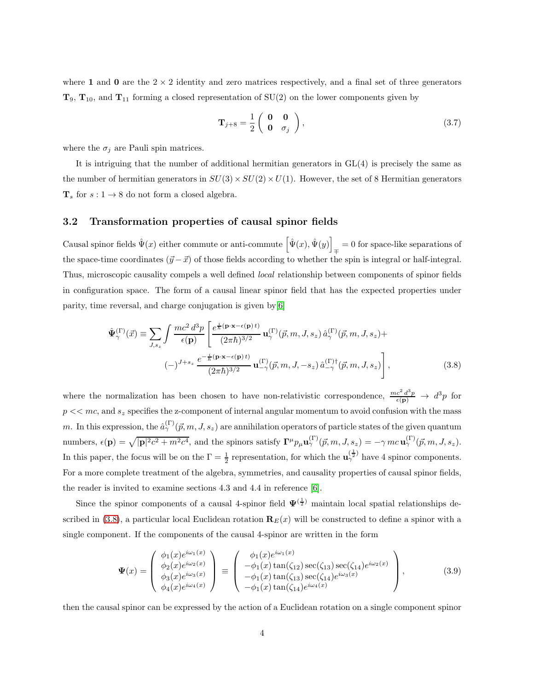where 1 and 0 are the  $2 \times 2$  identity and zero matrices respectively, and a final set of three generators  $T_9$ ,  $T_{10}$ , and  $T_{11}$  forming a closed representation of  $SU(2)$  on the lower components given by

$$
\mathbf{T}_{j+8} = \frac{1}{2} \begin{pmatrix} \mathbf{0} & \mathbf{0} \\ \mathbf{0} & \sigma_j \end{pmatrix},\tag{3.7}
$$

where the  $\sigma_j$  are Pauli spin matrices.

It is intriguing that the number of additional hermitian generators in GL(4) is precisely the same as the number of hermitian generators in  $SU(3) \times SU(2) \times U(1)$ . However, the set of 8 Hermitian generators  $\mathbf{T}_s$  for  $s: 1 \to 8$  do not form a closed algebra.

#### 3.2 Transformation properties of causal spinor fields

Causal spinor fields  $\hat{\Psi}(x)$  either commute or anti-commute  $\left[\hat{\Psi}(x), \hat{\Psi}(y)\right] = 0$  for space-like separations of the space-time coordinates  $(\vec{y} - \vec{x})$  of those fields according to whether the spin is integral or half-integral. Thus, microscopic causality compels a well defined local relationship between components of spinor fields in configuration space. The form of a causal linear spinor field that has the expected properties under parity, time reversal, and charge conjugation is given by[\[6\]](#page-8-5)

<span id="page-3-0"></span>
$$
\hat{\Psi}_{\gamma}^{(\Gamma)}(\vec{x}) \equiv \sum_{J,s_z} \int \frac{mc^2 d^3p}{\epsilon(\mathbf{p})} \left[ \frac{e^{\frac{i}{\hbar}(\mathbf{p}\cdot\mathbf{x}-\epsilon(\mathbf{p})t)}}{(2\pi\hbar)^{3/2}} \mathbf{u}_{\gamma}^{(\Gamma)}(\vec{p},m,J,s_z) \,\hat{a}_{\gamma}^{(\Gamma)}(\vec{p},m,J,s_z) + \right. \\
(-)^{J+s_z} \frac{e^{-\frac{i}{\hbar}(\mathbf{p}\cdot\mathbf{x}-\epsilon(\mathbf{p})t)}}{(2\pi\hbar)^{3/2}} \mathbf{u}_{-\gamma}^{(\Gamma)}(\vec{p},m,J,-s_z) \,\hat{a}_{-\gamma}^{(\Gamma)\dagger}(\vec{p},m,J,s_z) \right],
$$
\n(3.8)

where the normalization has been chosen to have non-relativistic correspondence,  $\frac{mc^2 d^3p}{\epsilon(\mathbf{p})} \to d^3p$  for  $p \ll mc$ , and  $s_z$  specifies the z-component of internal angular momentum to avoid confusion with the mass m. In this expression, the  $\hat{a}^{(\Gamma)}_{\gamma}(\vec{p},m,J,s_z)$  are annihilation operators of particle states of the given quantum numbers,  $\epsilon(\mathbf{p}) = \sqrt{|\mathbf{p}|^2 c^2 + m^2 c^4}$ , and the spinors satisfy  $\mathbf{\Gamma}^{\mu} p_{\mu} \mathbf{u}_{\gamma}^{(\Gamma)}(\vec{p}, m, J, s_z) = -\gamma mc \mathbf{u}_{\gamma}^{(\Gamma)}(\vec{p}, m, J, s_z)$ . In this paper, the focus will be on the  $\Gamma = \frac{1}{2}$  representation, for which the  $\mathbf{u}_{\gamma}^{(\frac{1}{2})}$  have 4 spinor components. For a more complete treatment of the algebra, symmetries, and causality properties of causal spinor fields, the reader is invited to examine sections 4.3 and 4.4 in reference [\[6\]](#page-8-5).

Since the spinor components of a causal 4-spinor field  $\Psi^{(\frac{1}{2})}$  maintain local spatial relationships de-scribed in [\(3.8\)](#page-3-0), a particular local Euclidean rotation  $\mathbf{R}_E(x)$  will be constructed to define a spinor with a single component. If the components of the causal 4-spinor are written in the form

$$
\Psi(x) = \begin{pmatrix} \phi_1(x)e^{i\omega_1(x)} \\ \phi_2(x)e^{i\omega_2(x)} \\ \phi_3(x)e^{i\omega_3(x)} \\ \phi_4(x)e^{i\omega_4(x)} \end{pmatrix} \equiv \begin{pmatrix} \phi_1(x)e^{i\omega_1(x)} \\ -\phi_1(x)\tan(\zeta_{12})\sec(\zeta_{13})\sec(\zeta_{14})e^{i\omega_2(x)} \\ -\phi_1(x)\tan(\zeta_{13})\sec(\zeta_{14})e^{i\omega_3(x)} \\ -\phi_1(x)\tan(\zeta_{14})e^{i\omega_4(x)} \end{pmatrix},
$$
(3.9)

then the causal spinor can be expressed by the action of a Euclidean rotation on a single component spinor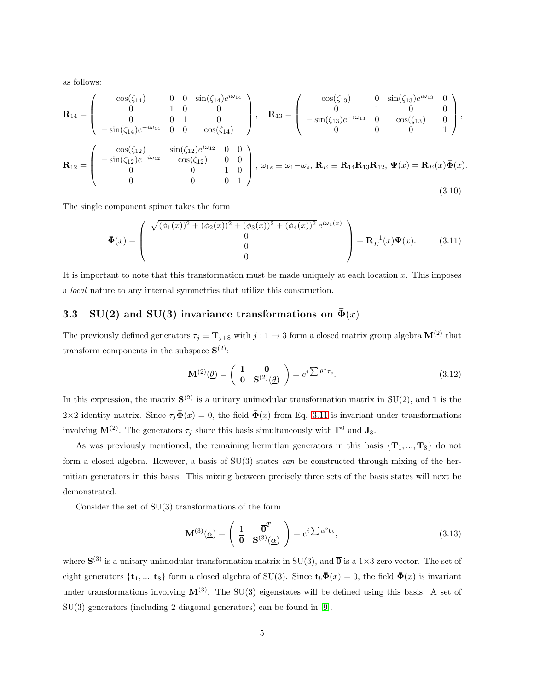as follows:

$$
\mathbf{R}_{14} = \begin{pmatrix} \cos(\zeta_{14}) & 0 & 0 & \sin(\zeta_{14})e^{i\omega_{14}} \\ 0 & 1 & 0 & 0 \\ 0 & 0 & 1 & 0 \\ -\sin(\zeta_{14})e^{-i\omega_{14}} & 0 & 0 & \cos(\zeta_{14}) \end{pmatrix}, \quad \mathbf{R}_{13} = \begin{pmatrix} \cos(\zeta_{13}) & 0 & \sin(\zeta_{13})e^{i\omega_{13}} & 0 \\ 0 & 1 & 0 & 0 \\ -\sin(\zeta_{13})e^{-i\omega_{13}} & 0 & \cos(\zeta_{13}) & 0 \\ 0 & 0 & 0 & 1 \end{pmatrix},
$$

$$
\mathbf{R}_{12} = \begin{pmatrix} \cos(\zeta_{12}) & \sin(\zeta_{12})e^{i\omega_{12}} & 0 & 0 \\ -\sin(\zeta_{12})e^{-i\omega_{12}} & \cos(\zeta_{12}) & 0 & 0 \\ 0 & 0 & 1 & 0 \\ 0 & 0 & 0 & 1 \end{pmatrix}, \quad \omega_{1s} \equiv \omega_{1} - \omega_{s}, \quad \mathbf{R}_{E} \equiv \mathbf{R}_{14} \mathbf{R}_{13} \mathbf{R}_{12}, \quad \Psi(x) = \mathbf{R}_{E}(x) \bar{\Phi}(x).
$$
(3.10)

The single component spinor takes the form

<span id="page-4-0"></span>
$$
\bar{\Phi}(x) = \begin{pmatrix} \sqrt{(\phi_1(x))^2 + (\phi_2(x))^2 + (\phi_3(x))^2 + (\phi_4(x))^2} e^{i\omega_1(x)} \\ 0 \\ 0 \\ 0 \end{pmatrix} = \mathbf{R}_E^{-1}(x)\Psi(x). \tag{3.11}
$$

It is important to note that this transformation must be made uniquely at each location  $x$ . This imposes a local nature to any internal symmetries that utilize this construction.

### 3.3 SU(2) and SU(3) invariance transformations on  $\bar{\Phi}(x)$

The previously defined generators  $\tau_j \equiv \mathbf{T}_{j+8}$  with  $j: 1 \to 3$  form a closed matrix group algebra  $\mathbf{M}^{(2)}$  that transform components in the subspace  $S^{(2)}$ :

<span id="page-4-2"></span>
$$
\mathbf{M}^{(2)}(\underline{\theta}) = \begin{pmatrix} \mathbf{1} & \mathbf{0} \\ \mathbf{0} & \mathbf{S}^{(2)}(\underline{\theta}) \end{pmatrix} = e^{i \sum \theta^s \tau_s}.
$$
 (3.12)

In this expression, the matrix  $S^{(2)}$  is a unitary unimodular transformation matrix in  $SU(2)$ , and 1 is the 2×2 identity matrix. Since  $\tau_j \bar{\mathbf{\Phi}}(x) = 0$ , the field  $\bar{\mathbf{\Phi}}(x)$  from Eq. [3.11](#page-4-0) is invariant under transformations involving  $\mathbf{M}^{(2)}$ . The generators  $\tau_j$  share this basis simultaneously with  $\mathbf{\Gamma}^0$  and  $\mathbf{J}_3$ .

As was previously mentioned, the remaining hermitian generators in this basis  $\{T_1, ..., T_8\}$  do not form a closed algebra. However, a basis of SU(3) states can be constructed through mixing of the hermitian generators in this basis. This mixing between precisely three sets of the basis states will next be demonstrated.

Consider the set of SU(3) transformations of the form

<span id="page-4-1"></span>
$$
\mathbf{M}^{(3)}(\underline{\alpha}) = \begin{pmatrix} 1 & \overline{\mathbf{0}}^T \\ \overline{\mathbf{0}} & \mathbf{S}^{(3)}(\underline{\alpha}) \end{pmatrix} = e^i \sum \alpha^b \mathbf{t}_b, \tag{3.13}
$$

where  $S^{(3)}$  is a unitary unimodular transformation matrix in SU(3), and  $\overline{0}$  is a 1×3 zero vector. The set of eight generators  $\{t_1, ..., t_8\}$  form a closed algebra of SU(3). Since  $t_b\bar{\Phi}(x) = 0$ , the field  $\bar{\Phi}(x)$  is invariant under transformations involving  $\mathbf{M}^{(3)}$ . The SU(3) eigenstates will be defined using this basis. A set of SU(3) generators (including 2 diagonal generators) can be found in [\[9\]](#page-9-1).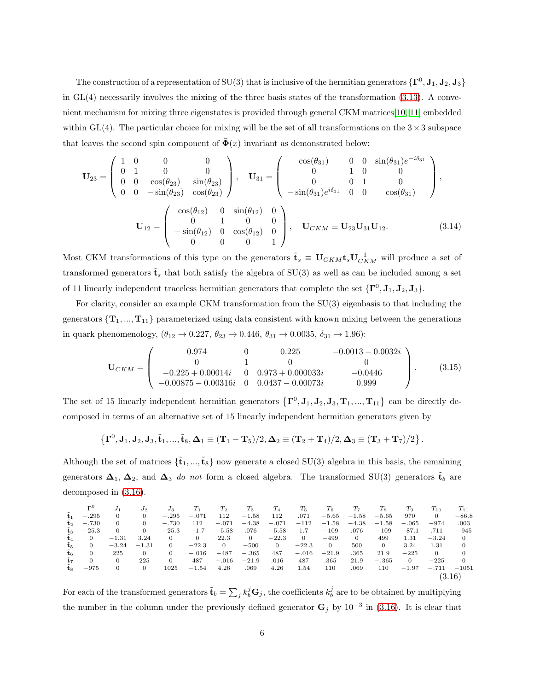The construction of a representation of SU(3) that is inclusive of the hermitian generators  $\{\mathbf\Gamma^0,\mathbf J_1,\mathbf J_2,\mathbf J_3\}$ in  $GL(4)$  necessarily involves the mixing of the three basis states of the transformation  $(3.13)$ . A convenient mechanism for mixing three eigenstates is provided through general CKM matrices[\[10,](#page-9-2) [11\]](#page-9-3) embedded within GL(4). The particular choice for mixing will be the set of all transformations on the  $3 \times 3$  subspace that leaves the second spin component of  $\bar{\Phi}(x)$  invariant as demonstrated below:

$$
\mathbf{U}_{23} = \begin{pmatrix} 1 & 0 & 0 & 0 \\ 0 & 1 & 0 & 0 \\ 0 & 0 & \cos(\theta_{23}) & \sin(\theta_{23}) \\ 0 & 0 & -\sin(\theta_{23}) & \cos(\theta_{23}) \end{pmatrix}, \quad \mathbf{U}_{31} = \begin{pmatrix} \cos(\theta_{31}) & 0 & 0 & \sin(\theta_{31})e^{-i\delta_{31}} \\ 0 & 1 & 0 & 0 \\ 0 & 0 & 1 & 0 \\ -\sin(\theta_{31})e^{i\delta_{31}} & 0 & 0 & \cos(\theta_{31}) \end{pmatrix},
$$

$$
\mathbf{U}_{12} = \begin{pmatrix} \cos(\theta_{12}) & 0 & \sin(\theta_{12}) & 0 \\ 0 & 1 & 0 & 0 \\ -\sin(\theta_{12}) & 0 & \cos(\theta_{12}) & 0 \\ 0 & 0 & 0 & 1 \end{pmatrix}, \quad \mathbf{U}_{CKM} \equiv \mathbf{U}_{23} \mathbf{U}_{31} \mathbf{U}_{12}.
$$
(3.14)

Most CKM transformations of this type on the generators  $\tilde{\mathbf{t}}_s \equiv \mathbf{U}_{CKM} \mathbf{t}_s \mathbf{U}_{CKM}^{-1}$  will produce a set of transformed generators  $\tilde{\mathbf{t}}_s$  that both satisfy the algebra of SU(3) as well as can be included among a set of 11 linearly independent traceless hermitian generators that complete the set  $\{\mathbf\Gamma^0, \mathbf{J}_1, \mathbf{J}_2, \mathbf{J}_3\}$ .

For clarity, consider an example CKM transformation from the SU(3) eigenbasis to that including the generators  $\{T_1, ..., T_{11}\}$  parameterized using data consistent with known mixing between the generations in quark phenomenology,  $(\theta_{12} \to 0.227, \theta_{23} \to 0.446, \theta_{31} \to 0.0035, \delta_{31} \to 1.96)$ :

$$
\mathbf{U}_{CKM} = \begin{pmatrix} 0.974 & 0 & 0.225 & -0.0013 - 0.0032i \\ 0 & 1 & 0 & 0 \\ -0.225 + 0.00014i & 0 & 0.973 + 0.000033i & -0.0446 \\ -0.00875 - 0.00316i & 0 & 0.0437 - 0.00073i & 0.999 \end{pmatrix}.
$$
 (3.15)

The set of 15 linearly independent hermitian generators  $\{\mathbf\Gamma^0, \mathbf J_1, \mathbf J_2, \mathbf J_3, \mathbf T_1, ..., \mathbf T_{11}\}$  can be directly decomposed in terms of an alternative set of 15 linearly independent hermitian generators given by

$$
\left\{ \mathbf{\Gamma}^{0}, \mathbf{J}_{1}, \mathbf{J}_{2}, \mathbf{J}_{3}, \tilde{\mathbf{t}}_{1}, ..., \tilde{\mathbf{t}}_{8}, \boldsymbol{\Delta}_{1} \equiv (\mathbf{T}_{1} - \mathbf{T}_{5})/2, \boldsymbol{\Delta}_{2} \equiv (\mathbf{T}_{2} + \mathbf{T}_{4})/2, \boldsymbol{\Delta}_{3} \equiv (\mathbf{T}_{3} + \mathbf{T}_{7})/2 \right\}.
$$

Although the set of matrices  $\{\tilde{\mathbf{t}}_1, ..., \tilde{\mathbf{t}}_8\}$  now generate a closed SU(3) algebra in this basis, the remaining generators  $\Delta_1$ ,  $\Delta_2$ , and  $\Delta_3$  do not form a closed algebra. The transformed SU(3) generators  $\tilde{\mathbf{t}}_b$  are decomposed in [\(3.16\)](#page-5-0).

<span id="page-5-0"></span>
$$
\begin{array}{cccccccccccccccc} \Gamma^0 & J_1 & J_2 & J_3 & T_1 & T_2 & T_3 & T_4 & T_5 & T_6 & T_7 & T_8 & T_9 & T_{10} & T_{11} \\ \tilde{\mathbf{t}}_1 & -.295 & 0 & 0 & -.295 & -.071 & 112 & -1.58 & 112 & .071 & -5.65 & -1.58 & -5.65 & 970 & 0 & -86.8 \\ \tilde{\mathbf{t}}_2 & -.730 & 0 & 0 & -.730 & 112 & -.071 & -4.38 & -.071 & -112 & -1.58 & -4.38 & -1.58 & -.065 & -974 & .003 \\ \tilde{\mathbf{t}}_3 & -25.3 & 0 & 0 & -25.3 & -1.7 & -5.58 & .076 & -5.58 & 1.7 & -109 & .076 & -109 & -87.1 & .711 & -945 \\ \tilde{\mathbf{t}}_4 & 0 & -1.31 & 3.24 & 0 & 22.3 & 0 & -500 & 0 & -22.3 & 0 & 500 & 499 & 1.31 & -3.24 & 0 \\ \tilde{\mathbf{t}}_5 & 0 & -3.24 & -1.31 & 0 & -22.3 & 0 & -500 & 0 & -22.3 & 0 & 500 & 0 & 3.24 & 1.31 & 0 \\ \tilde{\mathbf{t}}_6 & 0 & 225 & 0 & 0 & -.016 & -487 & -.365 & 487 & -.016 & -21.9 & .365 & 21.9 & -225 & 0 & 0 \\ \tilde{\mathbf{t}}_7 & 0 & 0 & 225 & 0 & 487 & -.016 & -21.9 & .016 & 487 & .365 & 21.9 & -.365 & 0 & -225 & 0 \\ \tilde{\mathbf{t}}_8 & -975 & 0 & 0 & 1025 & -1.54 & 4.26 & .069 & 4.26 & 1.54 & 110 & .069 & 110 & -1.97 & -.711 & -1051 \\ \end{array} \
$$

For each of the transformed generators  $\tilde{\mathbf{t}}_b = \sum_j k_b^j \mathbf{G}_j$ , the coefficients  $k_b^j$  are to be obtained by multiplying the number in the column under the previously defined generator  $G_j$  by 10<sup>-3</sup> in [\(3.16\)](#page-5-0). It is clear that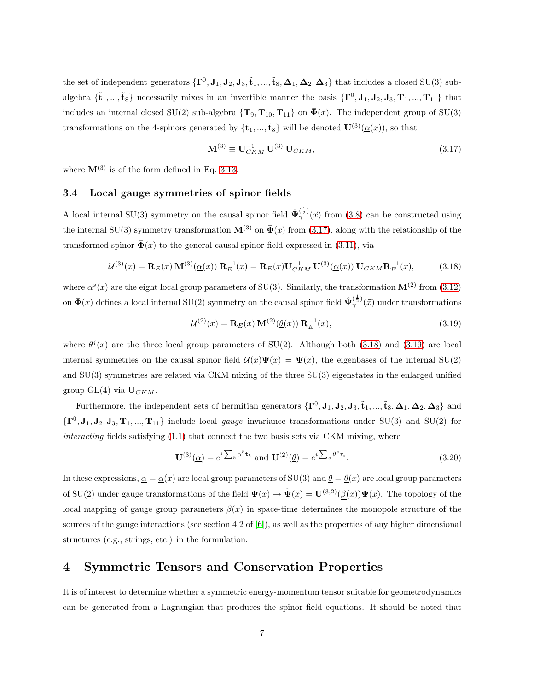the set of independent generators  $\{\mathbf\Gamma^0, \mathbf J_1, \mathbf J_2, \mathbf J_3, \tilde{\mathbf t}_1, ..., \tilde{\mathbf t}_8, \boldsymbol{\Delta}_1, \boldsymbol{\Delta}_2, \boldsymbol{\Delta}_3\}$  that includes a closed SU(3) subalgebra  $\{\tilde{\mathbf{t}}_1, ..., \tilde{\mathbf{t}}_8\}$  necessarily mixes in an invertible manner the basis  $\{\mathbf{\Gamma}^0, \mathbf{J}_1, \mathbf{J}_2, \mathbf{J}_3, \mathbf{T}_1, ..., \mathbf{T}_{11}\}$  that includes an internal closed SU(2) sub-algebra  $\{T_9, T_{10}, T_{11}\}$  on  $\bar{\Phi}(x)$ . The independent group of SU(3) transformations on the 4-spinors generated by  $\{\tilde{\mathbf{t}}_1, ..., \tilde{\mathbf{t}}_8\}$  will be denoted  $\mathbf{U}^{(3)}(\underline{\alpha}(x))$ , so that

<span id="page-6-0"></span>
$$
\mathbf{M}^{(3)} \equiv \mathbf{U}_{CKM}^{-1} \mathbf{U}^{(3)} \mathbf{U}_{CKM}, \tag{3.17}
$$

where  $\mathbf{M}^{(3)}$  is of the form defined in Eq. [3.13.](#page-4-1)

#### 3.4 Local gauge symmetries of spinor fields

A local internal SU(3) symmetry on the causal spinor field  $\hat{\Psi}_{\gamma}^{(\frac{1}{2})}(\vec{x})$  from [\(3.8\)](#page-3-0) can be constructed using the internal SU(3) symmetry transformation  $\mathbf{M}^{(3)}$  on  $\bar{\mathbf{\Phi}}(x)$  from [\(3.17\)](#page-6-0), along with the relationship of the transformed spinor  $\bar{\mathbf{\Phi}}(x)$  to the general causal spinor field expressed in [\(3.11\)](#page-4-0), via

<span id="page-6-1"></span>
$$
\mathcal{U}^{(3)}(x) = \mathbf{R}_E(x) \mathbf{M}^{(3)}(\underline{\alpha}(x)) \mathbf{R}_E^{-1}(x) = \mathbf{R}_E(x) \mathbf{U}_{CKM}^{-1} \mathbf{U}^{(3)}(\underline{\alpha}(x)) \mathbf{U}_{CKM} \mathbf{R}_E^{-1}(x),
$$
(3.18)

where  $\alpha^{s}(x)$  are the eight local group parameters of SU(3). Similarly, the transformation  $\mathbf{M}^{(2)}$  from [\(3.12\)](#page-4-2) on  $\bar{\Phi}(x)$  defines a local internal SU(2) symmetry on the causal spinor field  $\hat{\Psi}_{\gamma}^{(\frac{1}{2})}(\vec{x})$  under transformations

<span id="page-6-2"></span>
$$
\mathcal{U}^{(2)}(x) = \mathbf{R}_E(x) \, \mathbf{M}^{(2)}(\underline{\theta}(x)) \, \mathbf{R}_E^{-1}(x),\tag{3.19}
$$

where  $\theta^{j}(x)$  are the three local group parameters of SU(2). Although both [\(3.18\)](#page-6-1) and [\(3.19\)](#page-6-2) are local internal symmetries on the causal spinor field  $\mathcal{U}(x)\Psi(x) = \Psi(x)$ , the eigenbases of the internal SU(2) and SU(3) symmetries are related via CKM mixing of the three SU(3) eigenstates in the enlarged unified group GL(4) via  $U_{CKM}$ .

Furthermore, the independent sets of hermitian generators  $\{\mathbf\Gamma^0, \mathbf{J}_1, \mathbf{J}_2, \mathbf{J}_3, \tilde{\mathbf{t}}_1, ..., \tilde{\mathbf{t}}_8, \mathbf{\Delta}_1, \mathbf{\Delta}_2, \mathbf{\Delta}_3\}$  and  $\{\mathbf\Gamma^0,\mathbf J_1,\mathbf J_2,\mathbf J_3,\mathbf T_1,...,\mathbf T_{11}\}\$ include local *gauge* invariance transformations under SU(3) and SU(2) for interacting fields satisfying  $(1.1)$  that connect the two basis sets via CKM mixing, where

$$
\mathbf{U}^{(3)}(\underline{\alpha}) = e^{i \sum_b \alpha^b \tilde{\mathbf{t}}_b} \text{ and } \mathbf{U}^{(2)}(\underline{\theta}) = e^{i \sum_s \theta^s \tau_s}.
$$
 (3.20)

In these expressions,  $\alpha = \alpha(x)$  are local group parameters of SU(3) and  $\theta = \theta(x)$  are local group parameters of SU(2) under gauge transformations of the field  $\Psi(x) \to \tilde{\Psi}(x) = \mathbf{U}^{(3,2)}(\underline{\beta}(x))\Psi(x)$ . The topology of the local mapping of gauge group parameters  $\beta(x)$  in space-time determines the monopole structure of the sources of the gauge interactions (see section 4.2 of [\[6\]](#page-8-5)), as well as the properties of any higher dimensional structures (e.g., strings, etc.) in the formulation.

### 4 Symmetric Tensors and Conservation Properties

It is of interest to determine whether a symmetric energy-momentum tensor suitable for geometrodynamics can be generated from a Lagrangian that produces the spinor field equations. It should be noted that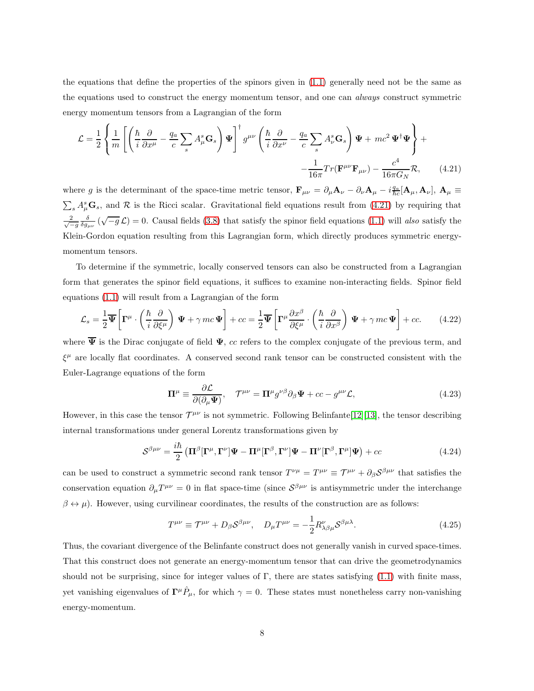the equations that define the properties of the spinors given in [\(1.1\)](#page-1-1) generally need not be the same as the equations used to construct the energy momentum tensor, and one can always construct symmetric energy momentum tensors from a Lagrangian of the form

<span id="page-7-0"></span>
$$
\mathcal{L} = \frac{1}{2} \left\{ \frac{1}{m} \left[ \left( \frac{\hbar}{i} \frac{\partial}{\partial x^{\mu}} - \frac{q_a}{c} \sum_{s} A_{\mu}^{s} \mathbf{G}_{s} \right) \Psi \right]^{\dagger} g^{\mu \nu} \left( \frac{\hbar}{i} \frac{\partial}{\partial x^{\nu}} - \frac{q_a}{c} \sum_{s} A_{\nu}^{s} \mathbf{G}_{s} \right) \Psi + mc^{2} \Psi^{\dagger} \Psi \right\} + \frac{1}{16\pi} Tr(\mathbf{F}^{\mu \nu} \mathbf{F}_{\mu \nu}) - \frac{c^{4}}{16\pi G_{N}} \mathcal{R}, \qquad (4.21)
$$

where g is the determinant of the space-time metric tensor,  $\mathbf{F}_{\mu\nu} = \partial_{\mu} \mathbf{A}_{\nu} - \partial_{\nu} \mathbf{A}_{\mu} - i \frac{q_a}{\hbar c} [\mathbf{A}_{\mu}, \mathbf{A}_{\nu}]$ ,  $\mathbf{A}_{\mu} \equiv$  $\sum_s A_\mu^s \mathbf{G}_s$ , and  $\mathcal R$  is the Ricci scalar. Gravitational field equations result from [\(4.21\)](#page-7-0) by requiring that  $\frac{2}{\sqrt{-g}}\frac{\delta}{\delta g_{\mu\nu}}\left(\sqrt{-g}\mathcal{L}\right) = 0.$  Causal fields [\(3.8\)](#page-3-0) that satisfy the spinor field equations [\(1.1\)](#page-1-1) will also satisfy the Klein-Gordon equation resulting from this Lagrangian form, which directly produces symmetric energymomentum tensors.

To determine if the symmetric, locally conserved tensors can also be constructed from a Lagrangian form that generates the spinor field equations, it suffices to examine non-interacting fields. Spinor field equations [\(1.1\)](#page-1-1) will result from a Lagrangian of the form

$$
\mathcal{L}_s = \frac{1}{2} \overline{\Psi} \left[ \Gamma^\mu \cdot \left( \frac{\hbar}{i} \frac{\partial}{\partial \xi^\mu} \right) \Psi + \gamma mc \Psi \right] + cc = \frac{1}{2} \overline{\Psi} \left[ \Gamma^\mu \frac{\partial x^\beta}{\partial \xi^\mu} \cdot \left( \frac{\hbar}{i} \frac{\partial}{\partial x^\beta} \right) \Psi + \gamma mc \Psi \right] + cc. \tag{4.22}
$$

where  $\overline{\Psi}$  is the Dirac conjugate of field  $\Psi$ , cc refers to the complex conjugate of the previous term, and  $\xi^{\mu}$  are locally flat coordinates. A conserved second rank tensor can be constructed consistent with the Euler-Lagrange equations of the form

$$
\Pi^{\mu} \equiv \frac{\partial \mathcal{L}}{\partial(\partial_{\mu} \Psi)}, \quad \mathcal{T}^{\mu\nu} = \Pi^{\mu} g^{\nu\beta} \partial_{\beta} \Psi + cc - g^{\mu\nu} \mathcal{L}, \tag{4.23}
$$

However, in this case the tensor  $\mathcal{T}^{\mu\nu}$  is not symmetric. Following Belinfante[\[12\]](#page-9-4)[\[13\]](#page-9-5), the tensor describing internal transformations under general Lorentz transformations given by

$$
S^{\beta\mu\nu} = \frac{i\hbar}{2} \left( \mathbf{\Pi}^{\beta} [\mathbf{\Gamma}^{\mu}, \mathbf{\Gamma}^{\nu}] \mathbf{\Psi} - \mathbf{\Pi}^{\mu} [\mathbf{\Gamma}^{\beta}, \mathbf{\Gamma}^{\nu}] \mathbf{\Psi} - \mathbf{\Pi}^{\nu} [\mathbf{\Gamma}^{\beta}, \mathbf{\Gamma}^{\mu}] \mathbf{\Psi} \right) + cc \tag{4.24}
$$

can be used to construct a symmetric second rank tensor  $T^{\nu\mu} = T^{\mu\nu} = T^{\mu\nu} + \partial_{\beta} S^{\beta\mu\nu}$  that satisfies the conservation equation  $\partial_{\mu}T^{\mu\nu} = 0$  in flat space-time (since  $S^{\beta\mu\nu}$  is antisymmetric under the interchange  $\beta \leftrightarrow \mu$ ). However, using curvilinear coordinates, the results of the construction are as follows:

$$
T^{\mu\nu} \equiv \mathcal{T}^{\mu\nu} + D_{\beta} \mathcal{S}^{\beta\mu\nu}, \quad D_{\mu} T^{\mu\nu} = -\frac{1}{2} R^{\nu}_{\lambda\beta\mu} \mathcal{S}^{\beta\mu\lambda}.
$$
 (4.25)

Thus, the covariant divergence of the Belinfante construct does not generally vanish in curved space-times. That this construct does not generate an energy-momentum tensor that can drive the geometrodynamics should not be surprising, since for integer values of Γ, there are states satisfying  $(1.1)$  with finite mass, yet vanishing eigenvalues of  $\Gamma^{\mu} \hat{P}_{\mu}$ , for which  $\gamma = 0$ . These states must nonetheless carry non-vanishing energy-momentum.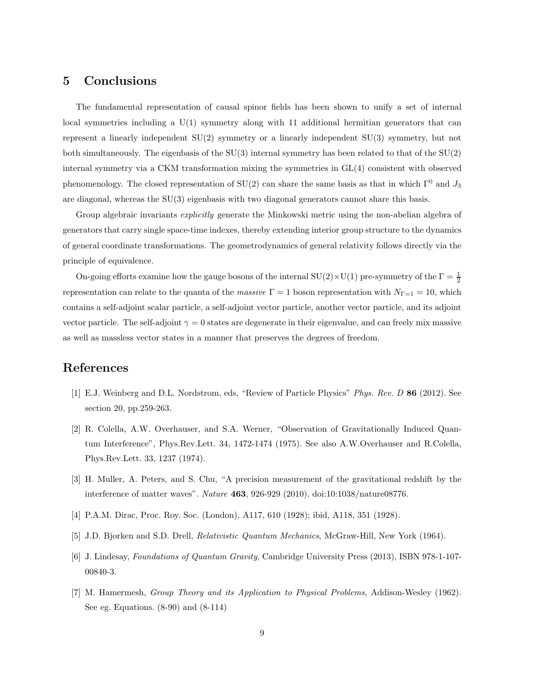### 5 Conclusions

The fundamental representation of causal spinor fields has been shown to unify a set of internal local symmetries including a U(1) symmetry along with 11 additional hermitian generators that can represent a linearly independent SU(2) symmetry or a linearly independent SU(3) symmetry, but not both simultaneously. The eigenbasis of the SU(3) internal symmetry has been related to that of the SU(2) internal symmetry via a CKM transformation mixing the symmetries in GL(4) consistent with observed phenomenology. The closed representation of  $SU(2)$  can share the same basis as that in which  $\Gamma^0$  and  $J_3$ are diagonal, whereas the SU(3) eigenbasis with two diagonal generators cannot share this basis.

Group algebraic invariants *explicitly* generate the Minkowski metric using the non-abelian algebra of generators that carry single space-time indexes, thereby extending interior group structure to the dynamics of general coordinate transformations. The geometrodynamics of general relativity follows directly via the principle of equivalence.

On-going efforts examine how the gauge bosons of the internal  $SU(2) \times U(1)$  pre-symmetry of the  $\Gamma = \frac{1}{2}$ representation can relate to the quanta of the massive  $\Gamma = 1$  boson representation with  $N_{\Gamma=1} = 10$ , which contains a self-adjoint scalar particle, a self-adjoint vector particle, another vector particle, and its adjoint vector particle. The self-adjoint  $\gamma = 0$  states are degenerate in their eigenvalue, and can freely mix massive as well as massless vector states in a manner that preserves the degrees of freedom.

### <span id="page-8-0"></span>References

- <span id="page-8-1"></span>[1] E.J. Weinberg and D.L. Nordstrom, eds, "Review of Particle Physics" Phys. Rev. D 86 (2012). See section 20, pp.259-263.
- [2] R. Colella, A.W. Overhauser, and S.A. Werner, "Observation of Gravitationally Induced Quantum Interference", Phys.Rev.Lett. 34, 1472-1474 (1975). See also A.W.Overhauser and R.Colella, Phys.Rev.Lett. 33, 1237 (1974).
- <span id="page-8-3"></span><span id="page-8-2"></span>[3] H. Muller, A. Peters, and S. Chu, "A precision measurement of the gravitational redshift by the interference of matter waves". Nature 463, 926-929 (2010), doi:10:1038/nature08776.
- <span id="page-8-4"></span>[4] P.A.M. Dirac, Proc. Roy. Soc. (London), A117, 610 (1928); ibid, A118, 351 (1928).
- <span id="page-8-5"></span>[5] J.D. Bjorken and S.D. Drell, Relativistic Quantum Mechanics, McGraw-Hill, New York (1964).
- <span id="page-8-6"></span>[6] J. Lindesay, Foundations of Quantum Gravity, Cambridge University Press (2013), ISBN 978-1-107- 00840-3.
- [7] M. Hamermesh, Group Theory and its Application to Physical Problems, Addison-Wesley (1962). See eg. Equations. (8-90) and (8-114)